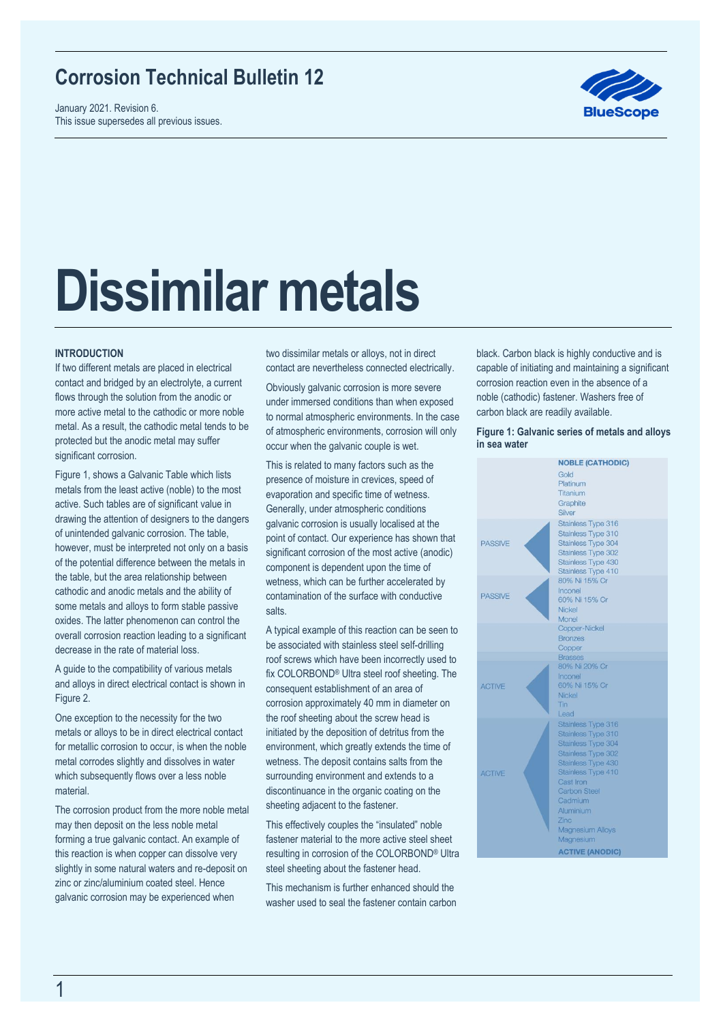## **Corrosion Technical Bulletin 12**

January 2021. Revision 6. This issue supersedes all previous issues.



# **Dissimilar metals**

#### **INTRODUCTION**

If two different metals are placed in electrical contact and bridged by an electrolyte, a current flows through the solution from the anodic or more active metal to the cathodic or more noble metal. As a result, the cathodic metal tends to be protected but the anodic metal may suffer significant corrosion.

Figure 1, shows a Galvanic Table which lists metals from the least active (noble) to the most active. Such tables are of significant value in drawing the attention of designers to the dangers of unintended galvanic corrosion. The table, however, must be interpreted not only on a basis of the potential difference between the metals in the table, but the area relationship between cathodic and anodic metals and the ability of some metals and alloys to form stable passive oxides. The latter phenomenon can control the overall corrosion reaction leading to a significant decrease in the rate of material loss.

A guide to the compatibility of various metals and alloys in direct electrical contact is shown in Figure 2.

One exception to the necessity for the two metals or alloys to be in direct electrical contact for metallic corrosion to occur, is when the noble metal corrodes slightly and dissolves in water which subsequently flows over a less noble material.

The corrosion product from the more noble metal may then deposit on the less noble metal forming a true galvanic contact. An example of this reaction is when copper can dissolve very slightly in some natural waters and re-deposit on zinc or zinc/aluminium coated steel. Hence galvanic corrosion may be experienced when

two dissimilar metals or alloys, not in direct contact are nevertheless connected electrically.

Obviously galvanic corrosion is more severe under immersed conditions than when exposed to normal atmospheric environments. In the case of atmospheric environments, corrosion will only occur when the galvanic couple is wet.

This is related to many factors such as the presence of moisture in crevices, speed of evaporation and specific time of wetness. Generally, under atmospheric conditions galvanic corrosion is usually localised at the point of contact. Our experience has shown that significant corrosion of the most active (anodic) component is dependent upon the time of wetness, which can be further accelerated by contamination of the surface with conductive salts.

A typical example of this reaction can be seen to be associated with stainless steel self-drilling roof screws which have been incorrectly used to fix COLORBOND® Ultra steel roof sheeting. The consequent establishment of an area of corrosion approximately 40 mm in diameter on the roof sheeting about the screw head is initiated by the deposition of detritus from the environment, which greatly extends the time of wetness. The deposit contains salts from the surrounding environment and extends to a discontinuance in the organic coating on the sheeting adjacent to the fastener.

This effectively couples the "insulated" noble fastener material to the more active steel sheet resulting in corrosion of the COLORBOND® Ultra steel sheeting about the fastener head.

This mechanism is further enhanced should the washer used to seal the fastener contain carbon black. Carbon black is highly conductive and is capable of initiating and maintaining a significant corrosion reaction even in the absence of a noble (cathodic) fastener. Washers free of carbon black are readily available.

#### **Figure 1: Galvanic series of metals and alloys in sea water**